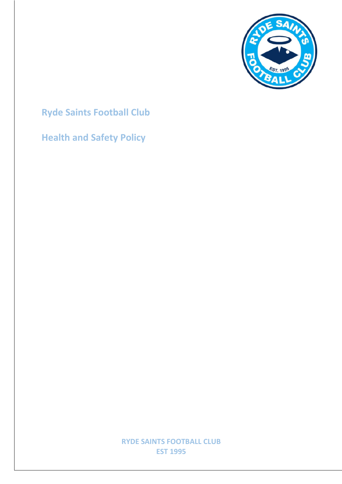

# **Ryde Saints Football Club**

## **Health and Safety Policy**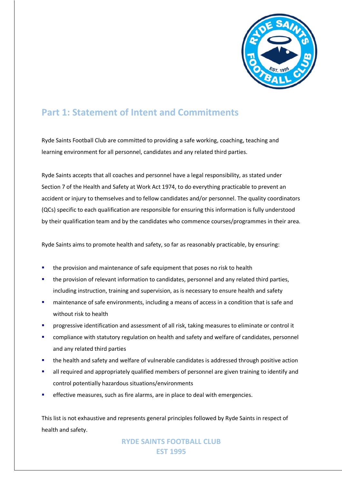

### **Part 1: Statement of Intent and Commitments**

Ryde Saints Football Club are committed to providing a safe working, coaching, teaching and learning environment for all personnel, candidates and any related third parties.

Ryde Saints accepts that all coaches and personnel have a legal responsibility, as stated under Section 7 of the Health and Safety at Work Act 1974, to do everything practicable to prevent an accident or injury to themselves and to fellow candidates and/or personnel. The quality coordinators (QCs) specific to each qualification are responsible for ensuring this information is fully understood by their qualification team and by the candidates who commence courses/programmes in their area.

Ryde Saints aims to promote health and safety, so far as reasonably practicable, by ensuring:

- the provision and maintenance of safe equipment that poses no risk to health
- the provision of relevant information to candidates, personnel and any related third parties, including instruction, training and supervision, as is necessary to ensure health and safety
- maintenance of safe environments, including a means of access in a condition that is safe and without risk to health
- § progressive identification and assessment of all risk, taking measures to eliminate or control it
- compliance with statutory regulation on health and safety and welfare of candidates, personnel and any related third parties
- the health and safety and welfare of vulnerable candidates is addressed through positive action
- **■** all required and appropriately qualified members of personnel are given training to identify and control potentially hazardous situations/environments
- effective measures, such as fire alarms, are in place to deal with emergencies.

This list is not exhaustive and represents general principles followed by Ryde Saints in respect of health and safety.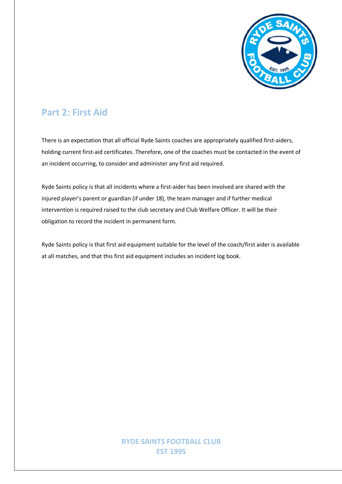

### **Part 2: First Aid**

There is an expectation that all official Ryde Saints coaches are appropriately qualified first-aiders, holding current first-aid certificates. Therefore, one of the coaches must be contacted in the event of an incident occurring, to consider and administer any first aid required.

Ryde Saints policy is that all incidents where a first-aider has been involved are shared with the injured player's parent or guardian (if under 18), the team manager and if further medical intervention is required raised to the club secretary and Club Welfare Officer. It will be their obligation to record the incident in permanent form.

Ryde Saints policy is that first aid equipment suitable for the level of the coach/first aider is available at all matches, and that this first aid equipment includes an incident log book.